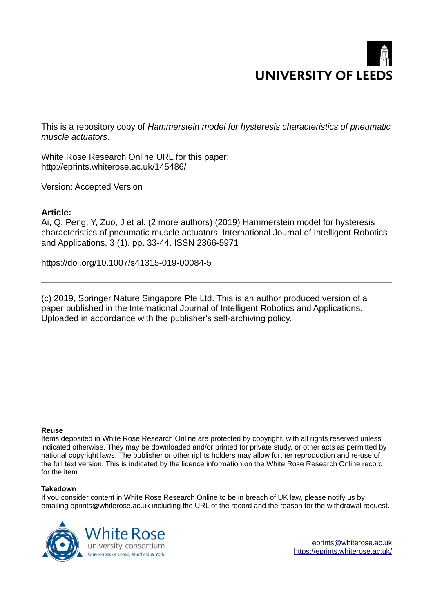# **UNIVERSITY OF LEEDS**

This is a repository copy of *Hammerstein model for hysteresis characteristics of pneumatic muscle actuators*.

White Rose Research Online URL for this paper: http://eprints.whiterose.ac.uk/145486/

Version: Accepted Version

# **Article:**

Ai, Q, Peng, Y, Zuo, J et al. (2 more authors) (2019) Hammerstein model for hysteresis characteristics of pneumatic muscle actuators. International Journal of Intelligent Robotics and Applications, 3 (1). pp. 33-44. ISSN 2366-5971

https://doi.org/10.1007/s41315-019-00084-5

(c) 2019, Springer Nature Singapore Pte Ltd. This is an author produced version of a paper published in the International Journal of Intelligent Robotics and Applications. Uploaded in accordance with the publisher's self-archiving policy.

#### **Reuse**

Items deposited in White Rose Research Online are protected by copyright, with all rights reserved unless indicated otherwise. They may be downloaded and/or printed for private study, or other acts as permitted by national copyright laws. The publisher or other rights holders may allow further reproduction and re-use of the full text version. This is indicated by the licence information on the White Rose Research Online record for the item.

#### **Takedown**

If you consider content in White Rose Research Online to be in breach of UK law, please notify us by emailing eprints@whiterose.ac.uk including the URL of the record and the reason for the withdrawal request.



[eprints@whiterose.ac.uk](mailto:eprints@whiterose.ac.uk) <https://eprints.whiterose.ac.uk/>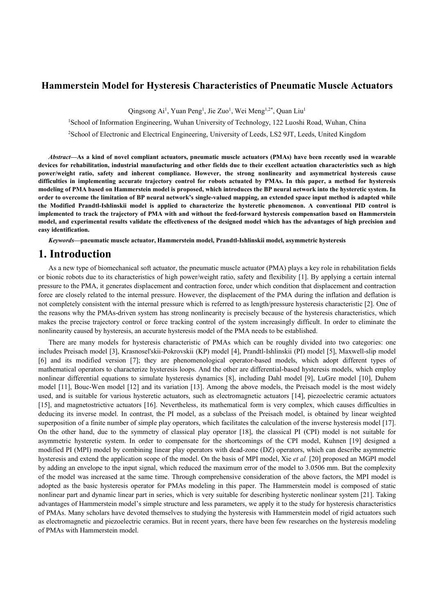## Hammerstein Model for Hysteresis Characteristics of Pneumatic Muscle Actuators

Qingsong Ai<sup>1</sup>, Yuan Peng<sup>1</sup>, Jie Zuo<sup>1</sup>, Wei Meng<sup>1,2\*</sup>, Quan Liu<sup>1</sup>

<sup>1</sup>School of Information Engineering, Wuhan University of Technology, 122 Luoshi Road, Wuhan, China

<sup>2</sup>School of Electronic and Electrical Engineering, University of Leeds, LS2 9JT, Leeds, United Kingdom

Abstract—As a kind of novel compliant actuators, pneumatic muscle actuators (PMAs) have been recently used in wearable devices for rehabilitation, industrial manufacturing and other fields due to their excellent actuation characteristics such as high power/weight ratio, safety and inherent compliance. However, the strong nonlinearity and asymmetrical hysteresis cause difficulties in implementing accurate trajectory control for robots actuated by PMAs. In this paper, a method for hysteresis modeling of PMA based on Hammerstein model is proposed, which introduces the BP neural network into the hysteretic system. In order to overcome the limitation of BP neural network's single-valued mapping, an extended space input method is adapted while the Modified Prandtl-Ishlinskii model is applied to characterize the hysteretic phenomenon. A conventional PID control is implemented to track the trajectory of PMA with and without the feed-forward hysteresis compensation based on Hammerstein model, and experimental results validate the effectiveness of the designed model which has the advantages of high precision and easy identification.

Keywords—pneumatic muscle actuator, Hammerstein model, Prandtl-Ishlinskii model, asymmetric hysteresis

## 1. Introduction

As a new type of biomechanical soft actuator, the pneumatic muscle actuator (PMA) plays a key role in rehabilitation fields or bionic robots due to its characteristics of high power/weight ratio, safety and flexibility [1]. By applying a certain internal pressure to the PMA, it generates displacement and contraction force, under which condition that displacement and contraction force are closely related to the internal pressure. However, the displacement of the PMA during the inflation and deflation is not completely consistent with the internal pressure which is referred to as length/pressure hysteresis characteristic [2]. One of the reasons why the PMAs-driven system has strong nonlinearity is precisely because of the hysteresis characteristics, which makes the precise trajectory control or force tracking control of the system increasingly difficult. In order to eliminate the nonlinearity caused by hysteresis, an accurate hysteresis model of the PMA needs to be established.

There are many models for hysteresis characteristic of PMAs which can be roughly divided into two categories: one includes Preisach model [3], Krasnosel'skii-Pokrovskii (KP) model [4], Prandtl-Ishlinskii (PI) model [5], Maxwell-slip model [6] and its modified version [7]; they are phenomenological operator-based models, which adopt different types of mathematical operators to characterize hysteresis loops. And the other are differential-based hysteresis models, which employ nonlinear differential equations to simulate hysteresis dynamics [8], including Dahl model [9], LuGre model [10], Duhem model [11], Bouc-Wen model [12] and its variation [13]. Among the above models, the Preisach model is the most widely used, and is suitable for various hysteretic actuators, such as electromagnetic actuators [14], piezoelectric ceramic actuators [15], and magnetostrictive actuators [16]. Nevertheless, its mathematical form is very complex, which causes difficulties in deducing its inverse model. In contrast, the PI model, as a subclass of the Preisach model, is obtained by linear weighted superposition of a finite number of simple play operators, which facilitates the calculation of the inverse hysteresis model [17]. On the other hand, due to the symmetry of classical play operator [18], the classical PI (CPI) model is not suitable for asymmetric hysteretic system. In order to compensate for the shortcomings of the CPI model, Kuhnen [19] designed a modified PI (MPI) model by combining linear play operators with dead-zone (DZ) operators, which can describe asymmetric hysteresis and extend the application scope of the model. On the basis of MPI model, Xie *et al.* [20] proposed an MGPI model by adding an envelope to the input signal, which reduced the maximum error of the model to 3.0506 mm. But the complexity of the model was increased at the same time. Through comprehensive consideration of the above factors, the MPI model is adopted as the basic hysteresis operator for PMAs modeling in this paper. The Hammerstein model is composed of static nonlinear part and dynamic linear part in series, which is very suitable for describing hysteretic nonlinear system [21]. Taking advantages of Hammerstein model's simple structure and less parameters, we apply it to the study for hysteresis characteristics of PMAs. Many scholars have devoted themselves to studying the hysteresis with Hammerstein model of rigid actuators such as electromagnetic and piezoelectric ceramics. But in recent years, there have been few researches on the hysteresis modeling of PMAs with Hammerstein model.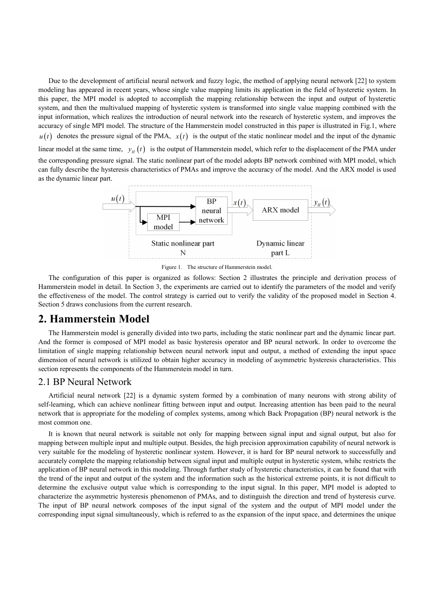Due to the development of artificial neural network and fuzzy logic, the method of applying neural network [22] to system modeling has appeared in recent years, whose single value mapping limits its application in the field of hysteretic system. In this paper, the MPI model is adopted to accomplish the mapping relationship between the input and output of hysteretic system, and then the multivalued mapping of hysteretic system is transformed into single value mapping combined with the input information, which realizes the introduction of neural network into the research of hysteretic system, and improves the accuracy of single MPI model. The structure of the Hammerstein model constructed in this paper is illustrated in Fig.1, where  $u(t)$  denotes the pressure signal of the PMA,  $x(t)$  is the output of the static nonlinear model and the input of the dynamic linear model at the same time,  $y_H(t)$  is the output of Hammerstein model, which refer to the displacement of the PMA under the corresponding pressure signal. The static nonlinear part of the model adopts BP network combined with MPI model, which can fully describe the hysteresis characteristics of PMAs and improve the accuracy of the model. And the ARX model is used as the dynamic linear part.



The configuration of this paper is organized as follows: Section 2 illustrates the principle and derivation process of Hammerstein model in detail. In Section 3, the experiments are carried out to identify the parameters of the model and verify the effectiveness of the model. The control strategy is carried out to verify the validity of the proposed model in Section 4. Section 5 draws conclusions from the current research.

# 2. Hammerstein Model

The Hammerstein model is generally divided into two parts, including the static nonlinear part and the dynamic linear part. And the former is composed of MPI model as basic hysteresis operator and BP neural network. In order to overcome the limitation of single mapping relationship between neural network input and output, a method of extending the input space dimension of neural network is utilized to obtain higher accuracy in modeling of asymmetric hysteresis characteristics. This section represents the components of the Hammerstein model in turn.

## 2.1 BP Neural Network

Artificial neural network [22] is a dynamic system formed by a combination of many neurons with strong ability of self-learning, which can achieve nonlinear fitting between input and output. Increasing attention has been paid to the neural network that is appropriate for the modeling of complex systems, among which Back Propagation (BP) neural network is the most common one.

It is known that neural network is suitable not only for mapping between signal input and signal output, but also for mapping between multiple input and multiple output. Besides, the high precision approximation capability of neural network is very suitable for the modeling of hysteretic nonlinear system. However, it is hard for BP neural network to successfully and accurately complete the mapping relationship between signal input and multiple output in hysteretic system, whihc restricts the application of BP neural network in this modeling. Through further study of hysteretic characteristics, it can be found that with the trend of the input and output of the system and the information such as the historical extreme points, it is not difficult to determine the exclusive output value which is corresponding to the input signal. In this paper, MPI model is adopted to characterize the asymmetric hysteresis phenomenon of PMAs, and to distinguish the direction and trend of hysteresis curve. The input of BP neural network composes of the input signal of the system and the output of MPI model under the corresponding input signal simultaneously, which is referred to as the expansion of the input space, and determines the unique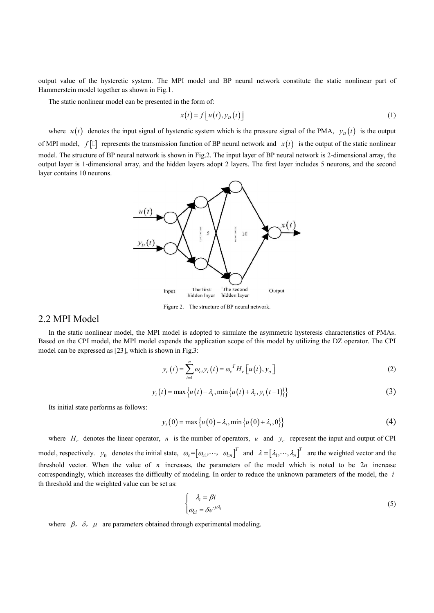output value of the hysteretic system. The MPI model and BP neural network constitute the static nonlinear part of Hammerstein model together as shown in Fig.1.

The static nonlinear model can be presented in the form of:

$$
x(t) = f[u(t), y_D(t)] \tag{1}
$$

where  $u(t)$  denotes the input signal of hysteretic system which is the pressure signal of the PMA,  $y_D(t)$  is the output of MPI model,  $f[\Box]$  represents the transmission function of BP neural network and  $x(t)$  is the output of the static nonlinear model. The structure of BP neural network is shown in Fig.2. The input layer of BP neural network is 2-dimensional array, the output layer is 1-dimensional array, and the hidden layers adopt 2 layers. The first layer includes 5 neurons, and the second layer contains 10 neurons.



Figure 2. The structure of BP neural network.

# 2.2 MPI Model

In the static nonlinear model, the MPI model is adopted to simulate the asymmetric hysteresis characteristics of PMAs. Based on the CPI model, the MPI model expends the application scope of this model by utilizing the DZ operator. The CPI model can be expressed as [23], which is shown in Fig.3:

$$
y_c(t) = \sum_{i=1}^{n} \omega_{ci} y_i(t) = \omega_c^T H_r \left[ u(t), y_o \right]
$$
 (2)

$$
y_i(t) = \max\left\{u(t) - \lambda_i, \min\left\{u(t) + \lambda_i, y_i(t-1)\right\}\right\}
$$
\n(3)

Its initial state performs as follows:

$$
y_i(0) = \max\{u(0) - \lambda_i, \min\{u(0) + \lambda_i, 0\}\}\tag{4}
$$

where  $H_r$  denotes the linear operator, n is the number of operators, u and  $y_c$  represent the input and output of CPI model, respectively.  $y_0$  denotes the initial state,  $\omega_c = [\omega_{c1}, \dots, \omega_{cn}]^T$  and  $\lambda = [\lambda_1, \dots, \lambda_n]^T$  are the weighted vector and the threshold vector. When the value of  $n$  increases, the parameters of the model which is noted to be  $2n$  increase correspondingly, which increases the difficulty of modeling. In order to reduce the unknown parameters of the model, the i th threshold and the weighted value can be set as:

$$
\begin{cases}\n\lambda_i = \beta i \\
\omega_{ci} = \delta e^{-\mu \lambda_i}\n\end{cases}
$$
\n(5)

where  $\beta$ ,  $\delta$ ,  $\mu$  are parameters obtained through experimental modeling.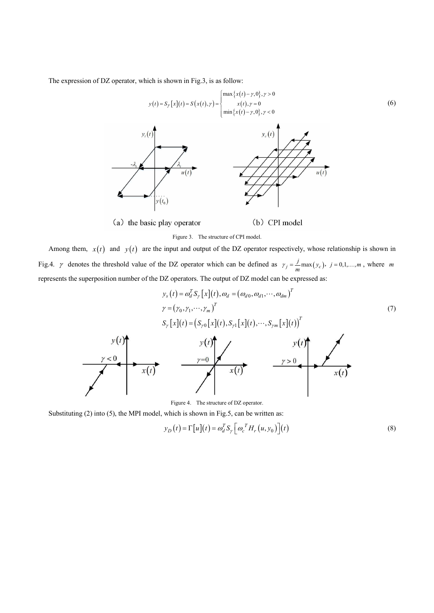The expression of DZ operator, which is shown in Fig.3, is as follow:



(b) CPI model (a) the basic play operator

Figure 3. The structure of CPI model.

Among them,  $x(t)$  and  $y(t)$  are the input and output of the DZ operator respectively, whose relationship is shown in Fig.4.  $\gamma$  denotes the threshold value of the DZ operator which can be defined as  $\gamma_j = \frac{j}{m} \max(y_c)$ ,  $j = 0,1,...,m$ , where m represents the superposition number of the DZ operators. The output of DZ model can be expressed as:

$$
y_s(t) = \omega_d^T S_{\gamma}[x](t), \omega_d = (\omega_{d0}, \omega_{d1}, \cdots, \omega_{dm})^T
$$
  
\n
$$
\gamma = (\gamma_0, \gamma_1, \cdots, \gamma_m)^T
$$
  
\n
$$
S_{\gamma}[x](t) = (S_{\gamma 0}[x](t), S_{\gamma 1}[x](t), \cdots, S_{\gamma m}[x](t))^T
$$
  
\n
$$
y(t)
$$
  
\n
$$
y(t)
$$
  
\n
$$
\gamma = 0
$$
  
\n
$$
x(t)
$$
  
\n(7)

Figure 4. The structure of DZ operator.

Substituting (2) into (5), the MPI model, which is shown in Fig.5, can be written as:

$$
y_D(t) = \Gamma[u](t) = \omega_d^T S_\gamma \left[\omega_c^T H_r(u, y_0)\right](t)
$$
\n(8)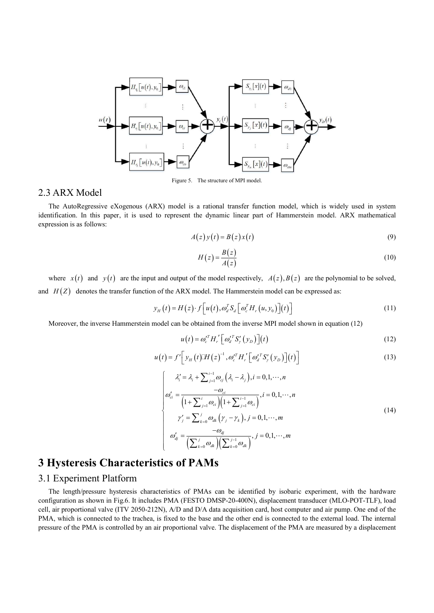

Figure 5. The structure of MPI model.

## 2.3 ARX Model

The AutoRegressive eXogenous (ARX) model is a rational transfer function model, which is widely used in system identification. In this paper, it is used to represent the dynamic linear part of Hammerstein model. ARX mathematical expression is as follows:

$$
A(z)y(t) = B(z)x(t)
$$
\n(9)

$$
H(z) = \frac{B(z)}{A(z)}
$$
\n(10)

where  $x(t)$  and  $y(t)$  are the input and output of the model respectively,  $A(z)$ ,  $B(z)$  are the polynomial to be solved, and  $H(Z)$  denotes the transfer function of the ARX model. The Hammerstein model can be expressed as:

$$
y_H(t) = H(z) \cdot f\Big[ u(t), \omega_d^T S_d \Big[ \omega_c^T H_r(u, y_0) \Big] (t) \Big]
$$
 (11)

Moreover, the inverse Hammerstein model can be obtained from the inverse MPI model shown in equation (12)

$$
u(t) = \omega_c^{\prime T} H'_r \left[ \omega_d^{\prime T} S'_r \left( y_D \right) \right] (t) \tag{12}
$$

$$
u(t) = f'\left[y_H(t)\mathbb{H}\left(z\right)^{-1}, \omega_c^{\prime T} H_r'\left[\omega_d^{\prime T} S_r'\left(y_D\right)\right](t)\right] \tag{13}
$$

$$
\begin{cases}\n\lambda'_{i} = \lambda_{i} + \sum_{j=1}^{i-1} \omega_{cj} (\lambda_{i} - \lambda_{j}), i = 0, 1, \cdots, n \\
\omega'_{ci} = \frac{-\omega_{ci}}{\left(1 + \sum_{j=1}^{i} \omega_{ci}\right) \left(1 + \sum_{j=1}^{i-1} \omega_{ci}\right)}, i = 0, 1, \cdots, n \\
\gamma'_{j} = \sum_{k=0}^{j} \omega_{dk} (\gamma_{j} - \gamma_{k}), j = 0, 1, \cdots, m \\
\omega'_{dj} = \frac{-\omega_{dj}}{\left(\sum_{k=0}^{j} \omega_{dk}\right) \left(\sum_{k=0}^{j-1} \omega_{dk}\right)}, j = 0, 1, \cdots, m\n\end{cases}
$$
\n(14)

# 3 Hysteresis Characteristics of PAMs

## 3.1 Experiment Platform

The length/pressure hysteresis characteristics of PMAs can be identified by isobaric experiment, with the hardware configuration as shown in Fig.6. It includes PMA (FESTO DMSP-20-400N), displacement transducer (MLO-POT-TLF), load cell, air proportional valve (ITV 2050-212N), A/D and D/A data acquisition card, host computer and air pump. One end of the PMA, which is connected to the trachea, is fixed to the base and the other end is connected to the external load. The internal pressure of the PMA is controlled by an air proportional valve. The displacement of the PMA are measured by a displacement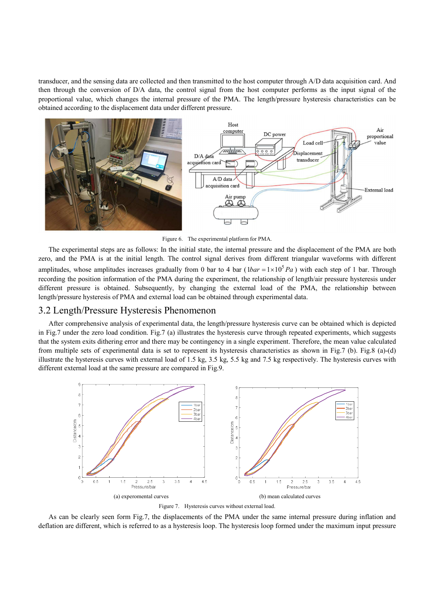transducer, and the sensing data are collected and then transmitted to the host computer through A/D data acquisition card. And then through the conversion of D/A data, the control signal from the host computer performs as the input signal of the proportional value, which changes the internal pressure of the PMA. The length/pressure hysteresis characteristics can be obtained according to the displacement data under different pressure.



Figure 6. The experimental platform for PMA.

The experimental steps are as follows: In the initial state, the internal pressure and the displacement of the PMA are both zero, and the PMA is at the initial length. The control signal derives from different triangular waveforms with different amplitudes, whose amplitudes increases gradually from 0 bar to 4 bar ( $1bar = 1 \times 10^5 Pa$ ) with each step of 1 bar. Through recording the position information of the PMA during the experiment, the relationship of length/air pressure hysteresis under different pressure is obtained. Subsequently, by changing the external load of the PMA, the relationship between length/pressure hysteresis of PMA and external load can be obtained through experimental data.

### 3.2 Length/Pressure Hysteresis Phenomenon

After comprehensive analysis of experimental data, the length/pressure hysteresis curve can be obtained which is depicted in Fig.7 under the zero load condition. Fig.7 (a) illustrates the hysteresis curve through repeated experiments, which suggests that the system exits dithering error and there may be contingency in a single experiment. Therefore, the mean value calculated from multiple sets of experimental data is set to represent its hysteresis characteristics as shown in Fig.7 (b). Fig.8 (a)-(d) illustrate the hysteresis curves with external load of 1.5 kg, 3.5 kg, 5.5 kg and 7.5 kg respectively. The hysteresis curves with different external load at the same pressure are compared in Fig.9.



As can be clearly seen form Fig.7, the displacements of the PMA under the same internal pressure during inflation and deflation are different, which is referred to as a hysteresis loop. The hysteresis loop formed under the maximum input pressure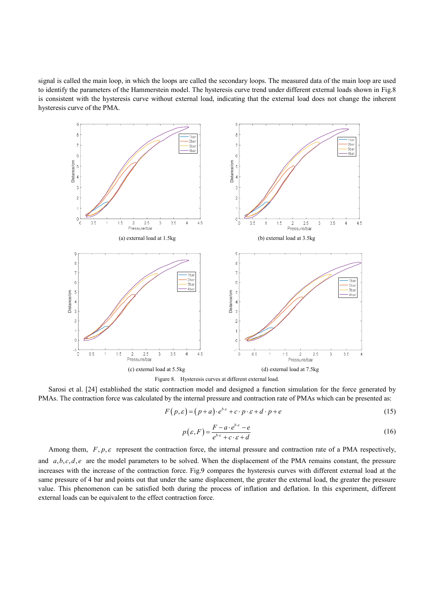signal is called the main loop, in which the loops are called the secondary loops. The measured data of the main loop are used to identify the parameters of the Hammerstein model. The hysteresis curve trend under different external loads shown in Fig.8 is consistent with the hysteresis curve without external load, indicating that the external load does not change the inherent hysteresis curve of the PMA.



Sarosi et al. [24] established the static contraction model and designed a function simulation for the force generated by PMAs. The contraction force was calculated by the internal pressure and contraction rate of PMAs which can be presented as:

$$
F(p,\varepsilon) = (p+a) \cdot e^{b \cdot \varepsilon} + c \cdot p \cdot \varepsilon + d \cdot p + e \tag{15}
$$

$$
p(\varepsilon, F) = \frac{F - a \cdot e^{b \cdot \varepsilon} - e}{e^{b \cdot \varepsilon} + c \cdot \varepsilon + d}
$$
 (16)

Among them,  $F, p, \varepsilon$  represent the contraction force, the internal pressure and contraction rate of a PMA respectively, and  $a, b, c, d, e$  are the model parameters to be solved. When the displacement of the PMA remains constant, the pressure increases with the increase of the contraction force. Fig.9 compares the hysteresis curves with different external load at the same pressure of 4 bar and points out that under the same displacement, the greater the external load, the greater the pressure value. This phenomenon can be satisfied both during the process of inflation and deflation. In this experiment, different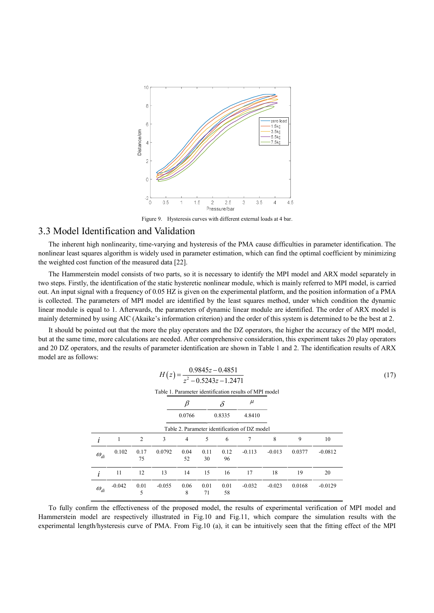

Figure 9. Hysteresis curves with different external loads at 4 bar.

## 3.3 Model Identification and Validation

$$
H(z) = \frac{0.9845z - 0.4851}{z^2 - 0.5243z - 1.2471}
$$
\n(17)

|                                                                                                                                                                                                                                                                                                                                                                                                                                                                                                                                                                                                                                                                                                                                                                                           |               |              | Distance/cm<br>4 |          |                                                          |                |                     |                                                                     | .3.5kg<br>$-5.5kg$<br>$-7.5kg$ |        |           |      |
|-------------------------------------------------------------------------------------------------------------------------------------------------------------------------------------------------------------------------------------------------------------------------------------------------------------------------------------------------------------------------------------------------------------------------------------------------------------------------------------------------------------------------------------------------------------------------------------------------------------------------------------------------------------------------------------------------------------------------------------------------------------------------------------------|---------------|--------------|------------------|----------|----------------------------------------------------------|----------------|---------------------|---------------------------------------------------------------------|--------------------------------|--------|-----------|------|
|                                                                                                                                                                                                                                                                                                                                                                                                                                                                                                                                                                                                                                                                                                                                                                                           |               |              | 2<br>$\circ$     |          |                                                          |                |                     |                                                                     |                                |        |           |      |
|                                                                                                                                                                                                                                                                                                                                                                                                                                                                                                                                                                                                                                                                                                                                                                                           |               |              | $-2$<br>$\circ$  | 0.5      | $\overline{1}$<br>1.5                                    | $\mathbf{2}$   | 2.5<br>Pressure/bar | 3<br>3.5                                                            | $\overline{4}$                 | 4.5    |           |      |
|                                                                                                                                                                                                                                                                                                                                                                                                                                                                                                                                                                                                                                                                                                                                                                                           |               |              |                  |          |                                                          |                |                     | Figure 9. Hysteresis curves with different external loads at 4 bar. |                                |        |           |      |
| 3.3 Model Identification and Validation                                                                                                                                                                                                                                                                                                                                                                                                                                                                                                                                                                                                                                                                                                                                                   |               |              |                  |          |                                                          |                |                     |                                                                     |                                |        |           |      |
| The inherent high nonlinearity, time-varying and hysteresis of the PMA cause difficulties in parameter identification. The<br>nonlinear least squares algorithm is widely used in parameter estimation, which can find the optimal coefficient by minimizing<br>the weighted cost function of the measured data [22].                                                                                                                                                                                                                                                                                                                                                                                                                                                                     |               |              |                  |          |                                                          |                |                     |                                                                     |                                |        |           |      |
| The Hammerstein model consists of two parts, so it is necessary to identify the MPI model and ARX model separately in<br>two steps. Firstly, the identification of the static hysteretic nonlinear module, which is mainly referred to MPI model, is carried<br>out. An input signal with a frequency of 0.05 HZ is given on the experimental platform, and the position information of a PMA<br>is collected. The parameters of MPI model are identified by the least squares method, under which condition the dynamic<br>linear module is equal to 1. Afterwards, the parameters of dynamic linear module are identified. The order of ARX model is<br>mainly determined by using AIC (Akaike's information criterion) and the order of this system is determined to be the best at 2. |               |              |                  |          |                                                          |                |                     |                                                                     |                                |        |           |      |
| It should be pointed out that the more the play operators and the DZ operators, the higher the accuracy of the MPI model,<br>but at the same time, more calculations are needed. After comprehensive consideration, this experiment takes 20 play operators<br>and 20 DZ operators, and the results of parameter identification are shown in Table 1 and 2. The identification results of ARX<br>model are as follows:                                                                                                                                                                                                                                                                                                                                                                    |               |              |                  |          |                                                          |                |                     |                                                                     |                                |        |           |      |
|                                                                                                                                                                                                                                                                                                                                                                                                                                                                                                                                                                                                                                                                                                                                                                                           |               |              |                  |          | $H(z) = \frac{0.9845z - 0.4851}{z^2 - 0.5243z - 1.2471}$ |                |                     |                                                                     |                                |        |           | (17) |
|                                                                                                                                                                                                                                                                                                                                                                                                                                                                                                                                                                                                                                                                                                                                                                                           |               |              |                  |          |                                                          |                |                     | Table 1. Parameter identification results of MPI model              |                                |        |           |      |
|                                                                                                                                                                                                                                                                                                                                                                                                                                                                                                                                                                                                                                                                                                                                                                                           |               |              |                  |          | $\beta$                                                  |                | $\delta$            | $\mu$                                                               |                                |        |           |      |
|                                                                                                                                                                                                                                                                                                                                                                                                                                                                                                                                                                                                                                                                                                                                                                                           |               |              |                  |          | 0.0766                                                   |                | 0.8335              | 4.8410                                                              |                                |        |           |      |
|                                                                                                                                                                                                                                                                                                                                                                                                                                                                                                                                                                                                                                                                                                                                                                                           |               |              |                  |          |                                                          |                |                     | Table 2. Parameter identification of DZ model                       |                                |        |           |      |
|                                                                                                                                                                                                                                                                                                                                                                                                                                                                                                                                                                                                                                                                                                                                                                                           | i             | $\mathbf{1}$ | $\overline{c}$   | 3        | 4                                                        | 5              | 6                   | 7                                                                   | 8                              | 9      | 10        |      |
|                                                                                                                                                                                                                                                                                                                                                                                                                                                                                                                                                                                                                                                                                                                                                                                           | $\omega_{di}$ | 0.102        | 0.17<br>75       | 0.0792   | 0.04<br>52                                               | 0.11<br>30     | 0.12<br>96          | $-0.113$                                                            | $-0.013$                       | 0.0377 | $-0.0812$ |      |
|                                                                                                                                                                                                                                                                                                                                                                                                                                                                                                                                                                                                                                                                                                                                                                                           | i             | 11           | 12               | 13       | 14                                                       | 15             | 16                  | 17                                                                  | 18                             | 19     | 20        |      |
|                                                                                                                                                                                                                                                                                                                                                                                                                                                                                                                                                                                                                                                                                                                                                                                           | $\omega_{di}$ | $-0.042$     | 0.01<br>5        | $-0.055$ | 0.06<br>8                                                | $0.01\,$<br>71 | 0.01<br>58          | $-0.032$                                                            | $-0.023$                       | 0.0168 | $-0.0129$ |      |
| To fully confirm the effectiveness of the proposed model, the results of experimental verification of MPI model and<br>Hammerstein model are respectively illustrated in Fig.10 and Fig.11, which compare the simulation results with the<br>experimental length/hysteresis curve of PMA. From Fig.10 (a), it can be intuitively seen that the fitting effect of the MPI                                                                                                                                                                                                                                                                                                                                                                                                                  |               |              |                  |          |                                                          |                |                     |                                                                     |                                |        |           |      |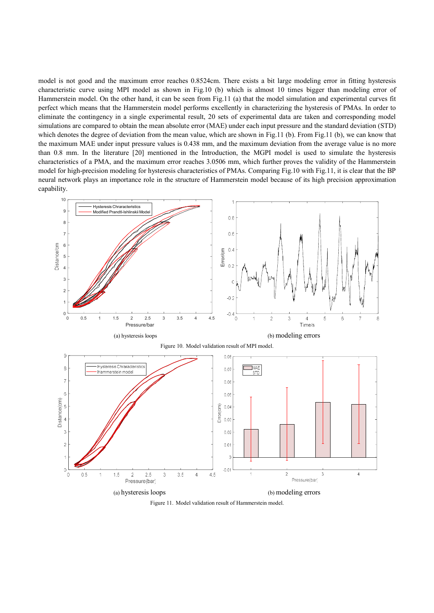model is not good and the maximum error reaches 0.8524cm. There exists a bit large modeling error in fitting hysteresis characteristic curve using MPI model as shown in Fig.10 (b) which is almost 10 times bigger than modeling error of Hammerstein model. On the other hand, it can be seen from Fig.11 (a) that the model simulation and experimental curves fit perfect which means that the Hammerstein model performs excellently in characterizing the hysteresis of PMAs. In order to eliminate the contingency in a single experimental result, 20 sets of experimental data are taken and corresponding model simulations are compared to obtain the mean absolute error (MAE) under each input pressure and the standard deviation (STD) which denotes the degree of deviation from the mean value, which are shown in Fig.11 (b). From Fig.11 (b), we can know that the maximum MAE under input pressure values is 0.438 mm, and the maximum deviation from the average value is no more than 0.8 mm. In the literature [20] mentioned in the Introduction, the MGPI model is used to simulate the hysteresis characteristics of a PMA, and the maximum error reaches 3.0506 mm, which further proves the validity of the Hammerstein model for high-precision modeling for hysteresis characteristics of PMAs. Comparing Fig.10 with Fig.11, it is clear that the BP neural network plays an importance role in the structure of Hammerstein model because of its high precision approximation capability.



Figure 11. Model validation result of Hammerstein model.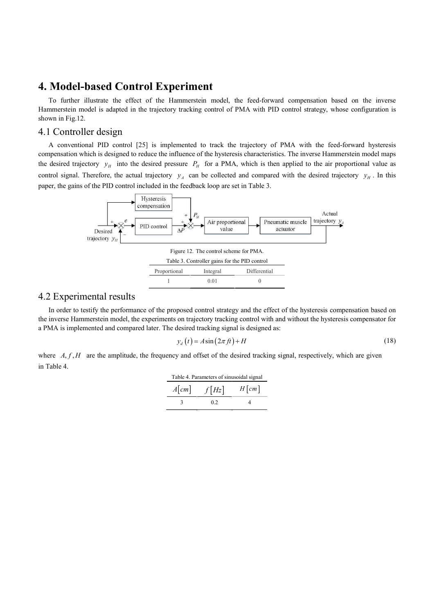# 4. Model-based Control Experiment

To further illustrate the effect of the Hammerstein model, the feed-forward compensation based on the inverse Hammerstein model is adapted in the trajectory tracking control of PMA with PID control strategy, whose configuration is shown in Fig.12.

# 4.1 Controller design

A conventional PID control [25] is implemented to track the trajectory of PMA with the feed-forward hysteresis compensation which is designed to reduce the influence of the hysteresis characteristics. The inverse Hammerstein model maps the desired trajectory  $y_H$  into the desired pressure  $P_H$  for a PMA, which is then applied to the air proportional value as control signal. Therefore, the actual trajectory  $y_A$  can be collected and compared with the desired trajectory  $y_H$ . In this paper, the gains of the PID control included in the feedback loop are set in Table 3.



# 4.2 Experimental results

In order to testify the performance of the proposed control strategy and the effect of the hysteresis compensation based on the inverse Hammerstein model, the experiments on trajectory tracking control with and without the hysteresis compensator for a PMA is implemented and compared later. The desired tracking signal is designed as:

$$
y_d(t) = A\sin(2\pi ft) + H\tag{18}
$$

where  $A, f, H$  are the amplitude, the frequency and offset of the desired tracking signal, respectively, which are given in Table 4.

| Table 4. Parameters of sinusoidal signal |       |       |  |  |  |
|------------------------------------------|-------|-------|--|--|--|
| A[cm]                                    | f[Hz] | H[cm] |  |  |  |
|                                          | 0.2   |       |  |  |  |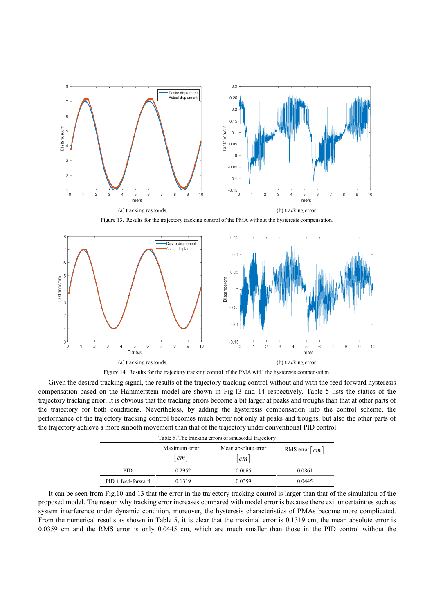

(a) tracking responds (b) tracking error Figure 14. Results for the trajectory tracking control of the PMA witH the hysteresis compensation.

 $\,$  8  $\,$ 

 $\circ$  $10$ 

 $\overline{c}$ 

 $\overline{1}$  $\circ$ 

.<br>O

 $\overline{1}$  $\overline{2}$  $\mathsf 3$   $\overline{4}$ 

5  $6\phantom{1}6$  $\overline{7}$ 

Time/s

Distance/cm

 $-0.05$ 

 $-0$ 

 $-0.15$ 

0

 $\overline{1}$  $\overline{\mathbf{c}}$  3  $\overline{4}$   $\sqrt{5}$  $\epsilon$ 

Time/s

 $\hbox{ }^{\rm 9}$ 

 $10$ 

8

Distance/cm  $\circ$ 

Given the desired tracking signal, the results of the trajectory tracking control without and with the feed-forward hysteresis compensation based on the Hammerstein model are shown in Fig.13 and 14 respectively. Table 5 lists the statics of the trajectory tracking error. It is obvious that the tracking errors become a bit larger at peaks and troughs than that at other parts of the trajectory for both conditions. Nevertheless, by adding the hysteresis compensation into the control scheme, the performance of the trajectory tracking control becomes much better not only at peaks and troughs, but also the other parts of the trajectory achieve a more smooth movement than that of the trajectory under conventional PID control.

| Table 5. The tracking errors of sinusoidal trajectory |                                     |                                        |                              |  |  |  |
|-------------------------------------------------------|-------------------------------------|----------------------------------------|------------------------------|--|--|--|
|                                                       | Maximum error<br>$\lceil cm \rceil$ | Mean absolute error<br>cm <sub>l</sub> | RMS error $\lceil cm \rceil$ |  |  |  |
| <b>PID</b>                                            | 0.2952                              | 0.0665                                 | 0.0861                       |  |  |  |
| $PID + feed-forward$                                  | 0.1319                              | 0.0359                                 | 0.0445                       |  |  |  |

It can be seen from Fig.10 and 13 that the error in the trajectory tracking control is larger than that of the simulation of the proposed model. The reason why tracking error increases compared with model error is because there exit uncertainties such as system interference under dynamic condition, moreover, the hysteresis characteristics of PMAs become more complicated. From the numerical results as shown in Table 5, it is clear that the maximal error is 0.1319 cm, the mean absolute error is 0.0359 cm and the RMS error is only 0.0445 cm, which are much smaller than those in the PID control without the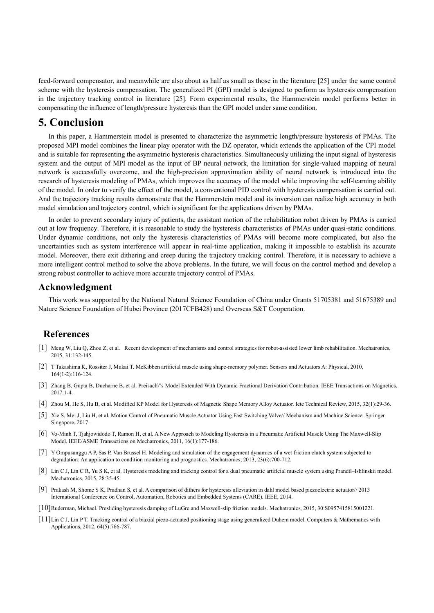feed-forward compensator, and meanwhile are also about as half as small as those in the literature [25] under the same control scheme with the hysteresis compensation. The generalized PI (GPI) model is designed to perform as hysteresis compensation in the trajectory tracking control in literature [25]. Form experimental results, the Hammerstein model performs better in compensating the influence of length/pressure hysteresis than the GPI model under same condition.

# 5. Conclusion

In this paper, a Hammerstein model is presented to characterize the asymmetric length/pressure hysteresis of PMAs. The proposed MPI model combines the linear play operator with the DZ operator, which extends the application of the CPI model and is suitable for representing the asymmetric hysteresis characteristics. Simultaneously utilizing the input signal of hysteresis system and the output of MPI model as the input of BP neural network, the limitation for single-valued mapping of neural network is successfully overcome, and the high-precision approximation ability of neural network is introduced into the research of hysteresis modeling of PMAs, which improves the accuracy of the model while improving the self-learning ability of the model. In order to verify the effect of the model, a conventional PID control with hysteresis compensation is carried out. And the trajectory tracking results demonstrate that the Hammerstein model and its inversion can realize high accuracy in both model simulation and trajectory control, which is significant for the applications driven by PMAs.

In order to prevent secondary injury of patients, the assistant motion of the rehabilitation robot driven by PMAs is carried out at low frequency. Therefore, it is reasonable to study the hysteresis characteristics of PMAs under quasi-static conditions. Under dynamic conditions, not only the hysteresis characteristics of PMAs will become more complicated, but also the uncertainties such as system interference will appear in real-time application, making it impossible to establish its accurate model. Moreover, there exit dithering and creep during the trajectory tracking control. Therefore, it is necessary to achieve a more intelligent control method to solve the above problems. In the future, we will focus on the control method and develop a strong robust controller to achieve more accurate trajectory control of PMAs.

## Acknowledgment

This work was supported by the National Natural Science Foundation of China under Grants 51705381 and 51675389 and Nature Science Foundation of Hubei Province (2017CFB428) and Overseas S&T Cooperation.

# References

- [1] Meng W, Liu Q, Zhou Z, et al. Recent development of mechanisms and control strategies for robot-assisted lower limb rehabilitation. Mechatronics, 2015, 31:132-145.
- [2] T Takashima K, Rossiter J, Mukai T. McKibben artificial muscle using shape-memory polymer. Sensors and Actuators A: Physical, 2010, 164(1-2):116-124.
- [3] Zhang B, Gupta B, Ducharne B, et al. Preisach\"s Model Extended With Dynamic Fractional Derivation Contribution. IEEE Transactions on Magnetics, 2017:1-4.
- [4] Zhou M, He S, Hu B, et al. Modified KP Model for Hysteresis of Magnetic Shape Memory Alloy Actuator. Iete Technical Review, 2015, 32(1):29-36.
- [5] Xie S, Mei J, Liu H, et al. Motion Control of Pneumatic Muscle Actuator Using Fast Switching Valve// Mechanism and Machine Science. Springer Singapore, 2017.
- [6] Vo-Minh T, Tjahjowidodo T, Ramon H, et al. A New Approach to Modeling Hysteresis in a Pneumatic Artificial Muscle Using The Maxwell-Slip Model. IEEE/ASME Transactions on Mechatronics, 2011, 16(1):177-186.
- [7] Y Ompusunggu A P, Sas P, Van Brussel H. Modeling and simulation of the engagement dynamics of a wet friction clutch system subjected to degradation: An application to condition monitoring and prognostics. Mechatronics, 2013, 23(6):700-712.
- [8] Lin C J, Lin C R, Yu S K, et al. Hysteresis modeling and tracking control for a dual pneumatic artificial muscle system using Prandtl–Ishlinskii model. Mechatronics, 2015, 28:35-45.
- [9] Prakash M, Shome S K, Pradhan S, et al. A comparison of dithers for hysteresis alleviation in dahl model based piezoelectric actuator// 2013 International Conference on Control, Automation, Robotics and Embedded Systems (CARE). IEEE, 2014.
- [10]Ruderman, Michael. Presliding hysteresis damping of LuGre and Maxwell-slip friction models. Mechatronics, 2015, 30:S0957415815001221.
- [11]Lin C J, Lin P T. Tracking control of a biaxial piezo-actuated positioning stage using generalized Duhem model. Computers & Mathematics with Applications, 2012, 64(5):766-787.